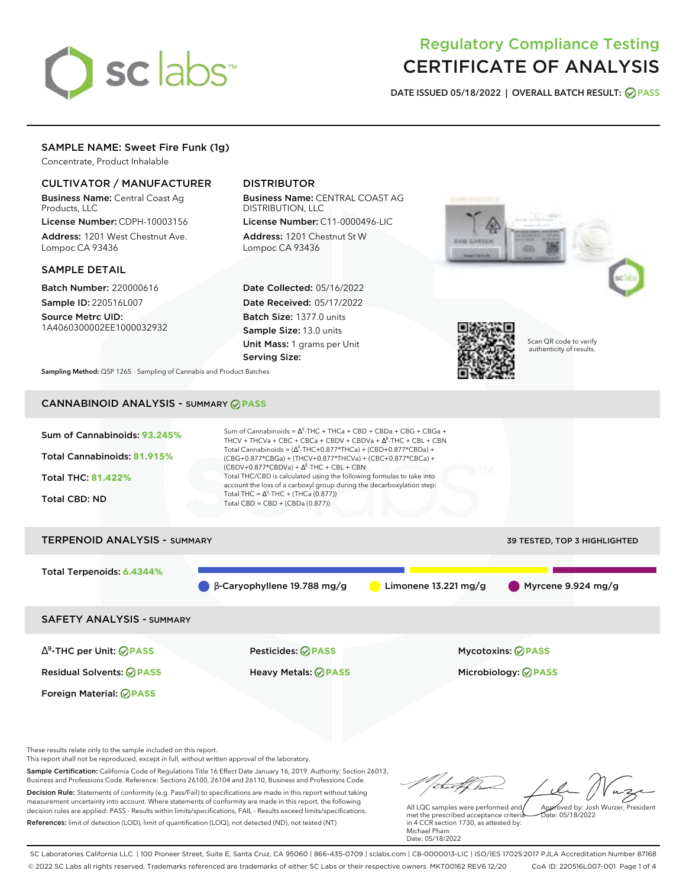# sclabs<sup>\*</sup>

# Regulatory Compliance Testing CERTIFICATE OF ANALYSIS

**DATE ISSUED 05/18/2022 | OVERALL BATCH RESULT: PASS**

## SAMPLE NAME: Sweet Fire Funk (1g)

Concentrate, Product Inhalable

## CULTIVATOR / MANUFACTURER

Business Name: Central Coast Ag Products, LLC

License Number: CDPH-10003156 Address: 1201 West Chestnut Ave. Lompoc CA 93436

### SAMPLE DETAIL

Batch Number: 220000616 Sample ID: 220516L007

Source Metrc UID: 1A4060300002EE1000032932

# DISTRIBUTOR

Business Name: CENTRAL COAST AG DISTRIBUTION, LLC

License Number: C11-0000496-LIC Address: 1201 Chestnut St W Lompoc CA 93436

Date Collected: 05/16/2022 Date Received: 05/17/2022 Batch Size: 1377.0 units Sample Size: 13.0 units Unit Mass: 1 grams per Unit Serving Size:





Scan QR code to verify authenticity of results.

**Sampling Method:** QSP 1265 - Sampling of Cannabis and Product Batches

# CANNABINOID ANALYSIS - SUMMARY **PASS**

| Total Cannabinoids: 81.915%<br>(CBG+0.877*CBGa) + (THCV+0.877*THCVa) + (CBC+0.877*CBCa) +<br>$(CBDV+0.877*CBDVa) + \Delta^8$ -THC + CBL + CBN<br>Total THC/CBD is calculated using the following formulas to take into<br><b>Total THC: 81.422%</b><br>account the loss of a carboxyl group during the decarboxylation step:<br>Total THC = $\Delta^9$ -THC + (THCa (0.877))<br><b>Total CBD: ND</b><br>Total CBD = $CBD + (CBDa (0.877))$ | Sum of Cannabinoids: 93.245% | Sum of Cannabinoids = $\Delta^9$ -THC + THCa + CBD + CBDa + CBG + CBGa +<br>THCV + THCVa + CBC + CBCa + CBDV + CBDVa + $\Delta^8$ -THC + CBL + CBN |
|--------------------------------------------------------------------------------------------------------------------------------------------------------------------------------------------------------------------------------------------------------------------------------------------------------------------------------------------------------------------------------------------------------------------------------------------|------------------------------|----------------------------------------------------------------------------------------------------------------------------------------------------|
|                                                                                                                                                                                                                                                                                                                                                                                                                                            |                              | Total Cannabinoids = $(\Delta^9$ -THC+0.877*THCa) + (CBD+0.877*CBDa) +                                                                             |
|                                                                                                                                                                                                                                                                                                                                                                                                                                            |                              |                                                                                                                                                    |
|                                                                                                                                                                                                                                                                                                                                                                                                                                            |                              |                                                                                                                                                    |

# TERPENOID ANALYSIS - SUMMARY 39 TESTED, TOP 3 HIGHLIGHTED Total Terpenoids: **6.4344%**  $\beta$ -Caryophyllene 19.788 mg/g Limonene 13.221 mg/g Myrcene 9.924 mg/g

SAFETY ANALYSIS - SUMMARY

∆ 9 -THC per Unit: **PASS** Pesticides: **PASS** Mycotoxins: **PASS**

Foreign Material: **PASS**

Residual Solvents: **PASS** Heavy Metals: **PASS** Microbiology: **PASS**

These results relate only to the sample included on this report.

This report shall not be reproduced, except in full, without written approval of the laboratory.

Sample Certification: California Code of Regulations Title 16 Effect Date January 16, 2019. Authority: Section 26013, Business and Professions Code. Reference: Sections 26100, 26104 and 26110, Business and Professions Code. Decision Rule: Statements of conformity (e.g. Pass/Fail) to specifications are made in this report without taking measurement uncertainty into account. Where statements of conformity are made in this report, the following decision rules are applied: PASS - Results within limits/specifications, FAIL - Results exceed limits/specifications.

References: limit of detection (LOD), limit of quantification (LOQ), not detected (ND), not tested (NT)

Approved by: Josh Wurzer, President

 $hat: 05/18/2022$ 

All LQC samples were performed and met the prescribed acceptance criteria in 4 CCR section 1730, as attested by: Michael Pham Date: 05/18/2022

SC Laboratories California LLC. | 100 Pioneer Street, Suite E, Santa Cruz, CA 95060 | 866-435-0709 | sclabs.com | C8-0000013-LIC | ISO/IES 17025:2017 PJLA Accreditation Number 87168 © 2022 SC Labs all rights reserved. Trademarks referenced are trademarks of either SC Labs or their respective owners. MKT00162 REV6 12/20 CoA ID: 220516L007-001 Page 1 of 4